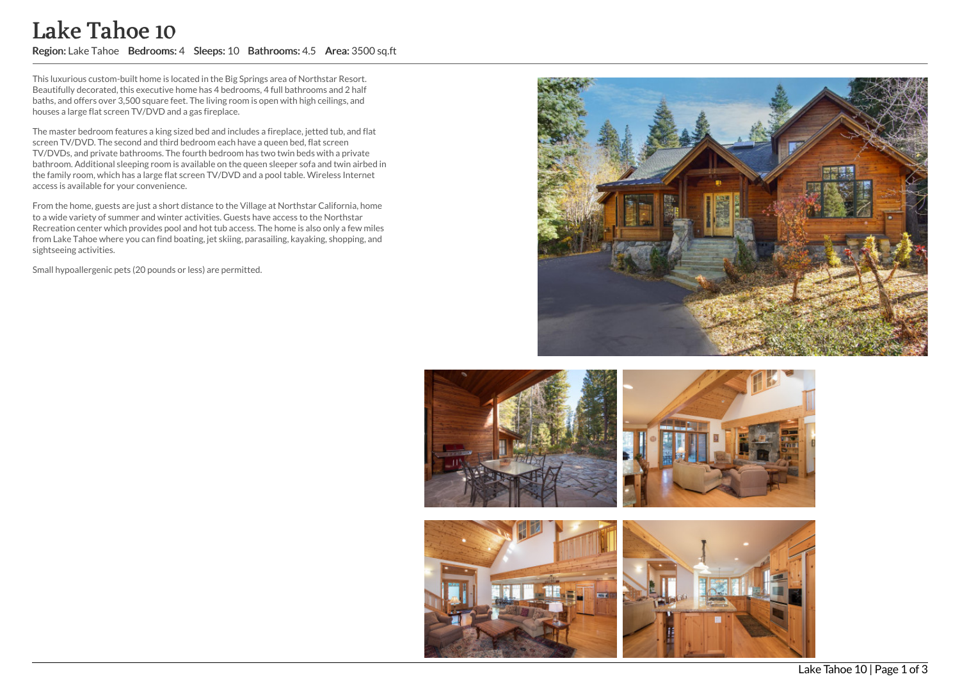## Lake Tahoe 10

## Region: Lake Tahoe Bedrooms: 4 Sleeps: 10 Bathrooms: 4.5 Area: 3500 sq.ft

This luxurious custom-built home is located in the Big Springs area of Northstar Resort. Beautifully decorated, this executive home has 4 bedrooms, 4 full bathrooms and 2 half baths, and offers over 3,500 square feet. The living room is open with high ceilings, and houses a large flat screen TV/DVD and a gas fireplace.

The master bedroom features a king sized bed and includes a fireplace, jetted tub, and flat screen TV/DVD. The second and third bedroom each have a queen bed, flat screen TV/DVDs, and private bathrooms. The fourth bedroom has two twin beds with a private bathroom. Additional sleeping room is available on the queen sleeper sofa and twin airbed in the family room, which has a large flat screen TV/DVD and a pool table. Wireless Internet access is available for your convenience.

From the home, guests are just a short distance to the Village at Northstar California, home to a wide variety of summer and winter activities. Guests have access to the Northstar Recreation center which provides pool and hot tub access. The home is also only a few miles from Lake Tahoe where you can find boating, jet skiing, parasailing, kayaking, shopping, and sightseeing activities.

Small hypoallergenic pets (20 pounds or less) are permitted.



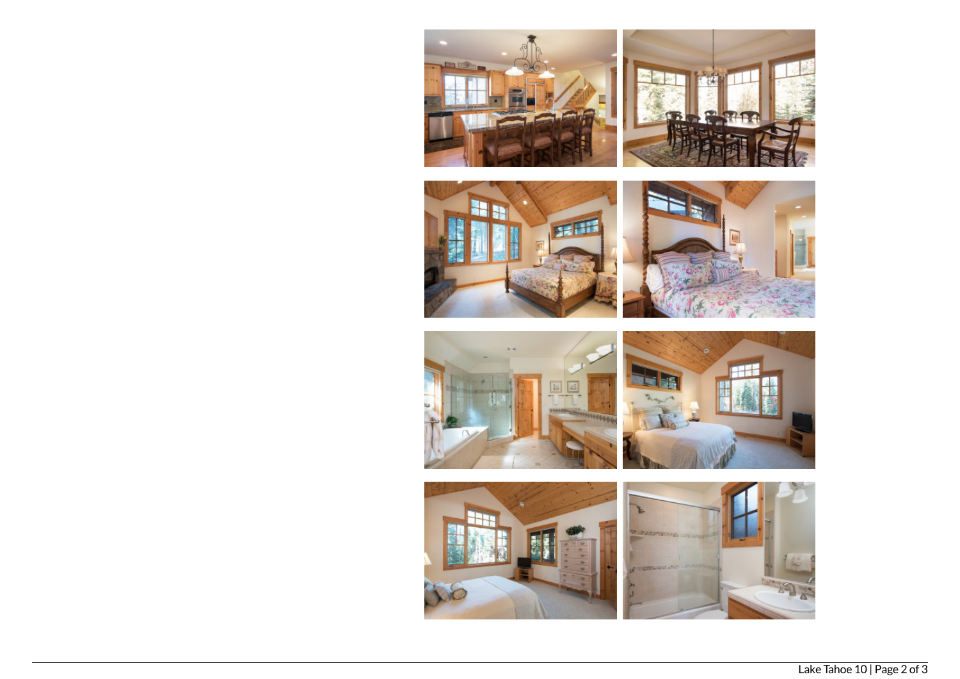